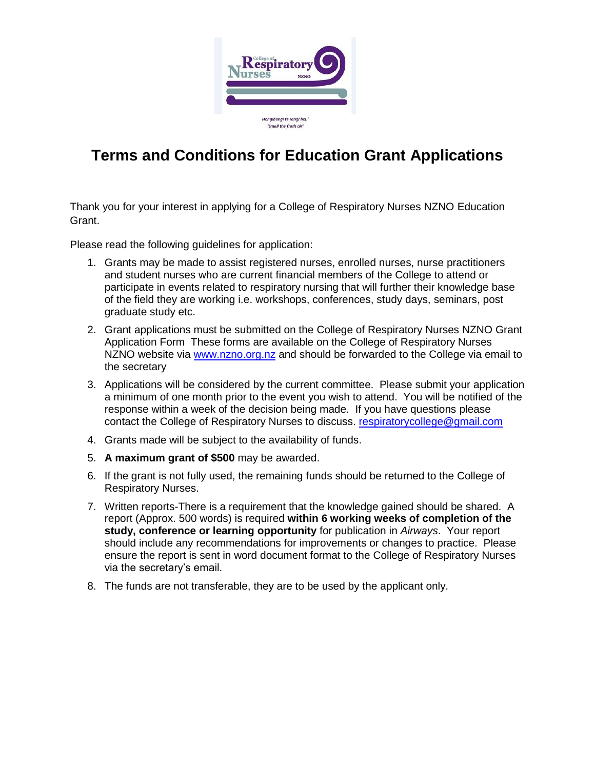

## **Terms and Conditions for Education Grant Applications**

Thank you for your interest in applying for a College of Respiratory Nurses NZNO Education Grant.

Please read the following guidelines for application:

- 1. Grants may be made to assist registered nurses, enrolled nurses, nurse practitioners and student nurses who are current financial members of the College to attend or participate in events related to respiratory nursing that will further their knowledge base of the field they are working i.e. workshops, conferences, study days, seminars, post graduate study etc.
- 2. Grant applications must be submitted on the College of Respiratory Nurses NZNO Grant Application Form These forms are available on the College of Respiratory Nurses NZNO website via [www.nzno.org.nz](http://www.nzno.org.nz/) and should be forwarded to the College via email to the secretary
- 3. Applications will be considered by the current committee. Please submit your application a minimum of one month prior to the event you wish to attend. You will be notified of the response within a week of the decision being made. If you have questions please contact the College of Respiratory Nurses to discuss. [respiratorycollege@gmail.com](mailto:respiratorycollege@gmail.com)
- 4. Grants made will be subject to the availability of funds.
- 5. **A maximum grant of \$500** may be awarded.
- 6. If the grant is not fully used, the remaining funds should be returned to the College of Respiratory Nurses.
- 7. Written reports-There is a requirement that the knowledge gained should be shared. A report (Approx. 500 words) is required **within 6 working weeks of completion of the study, conference or learning opportunity** for publication in *Airways*. Your report should include any recommendations for improvements or changes to practice. Please ensure the report is sent in word document format to the College of Respiratory Nurses via the secretary's email.
- 8. The funds are not transferable, they are to be used by the applicant only.